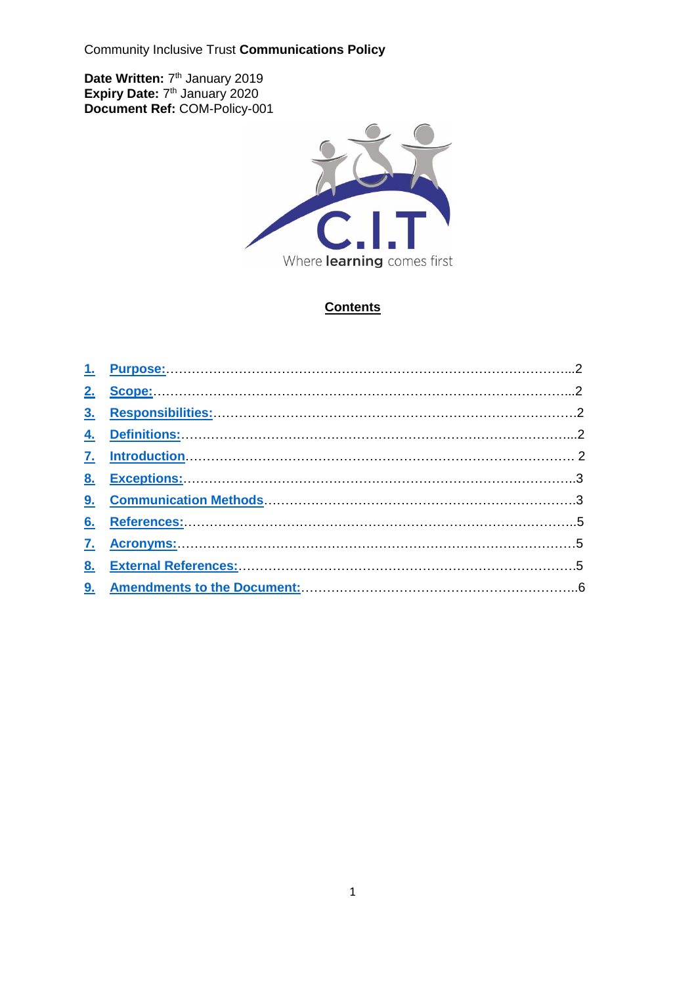Community Inclusive Trust **Communications Policy**

Date Written: 7<sup>th</sup> January 2019 **Expiry Date: 7th January 2020 Document Ref:** COM-Policy-001



# **Contents**

| 4. Definitions: 2008. [2016] Definitions: 2016. [2016] Definitions: 2016. [2016] Definitions: 2016. [2016] Definitions: 2016. [2016] Definitions: 2016. [2016] Definitions: 2016. [2016] Definitions: 2016. [2016] Definitions |  |
|--------------------------------------------------------------------------------------------------------------------------------------------------------------------------------------------------------------------------------|--|
|                                                                                                                                                                                                                                |  |
| 8. Exceptions: 3                                                                                                                                                                                                               |  |
|                                                                                                                                                                                                                                |  |
|                                                                                                                                                                                                                                |  |
|                                                                                                                                                                                                                                |  |
|                                                                                                                                                                                                                                |  |
|                                                                                                                                                                                                                                |  |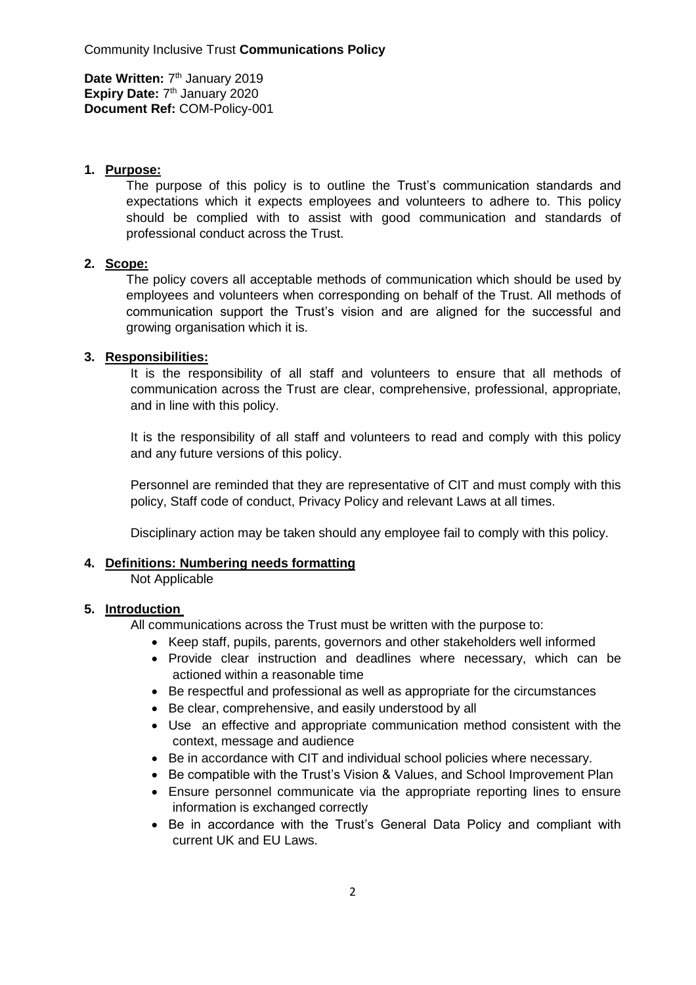#### <span id="page-1-0"></span>**1. Purpose:**

The purpose of this policy is to outline the Trust's communication standards and expectations which it expects employees and volunteers to adhere to. This policy should be complied with to assist with good communication and standards of professional conduct across the Trust.

### <span id="page-1-1"></span>**2. Scope:**

The policy covers all acceptable methods of communication which should be used by employees and volunteers when corresponding on behalf of the Trust. All methods of communication support the Trust's vision and are aligned for the successful and growing organisation which it is.

### <span id="page-1-2"></span>**3. Responsibilities:**

It is the responsibility of all staff and volunteers to ensure that all methods of communication across the Trust are clear, comprehensive, professional, appropriate, and in line with this policy.

It is the responsibility of all staff and volunteers to read and comply with this policy and any future versions of this policy.

Personnel are reminded that they are representative of CIT and must comply with this policy, Staff code of conduct, Privacy Policy and relevant Laws at all times.

Disciplinary action may be taken should any employee fail to comply with this policy.

### <span id="page-1-3"></span>**4. Definitions: Numbering needs formatting**

Not Applicable

#### <span id="page-1-4"></span>**5. Introduction**

All communications across the Trust must be written with the purpose to:

- Keep staff, pupils, parents, governors and other stakeholders well informed
- Provide clear instruction and deadlines where necessary, which can be actioned within a reasonable time
- Be respectful and professional as well as appropriate for the circumstances
- Be clear, comprehensive, and easily understood by all
- Use an effective and appropriate communication method consistent with the context, message and audience
- Be in accordance with CIT and individual school policies where necessary.
- Be compatible with the Trust's Vision & Values, and School Improvement Plan
- Ensure personnel communicate via the appropriate reporting lines to ensure information is exchanged correctly
- Be in accordance with the Trust's General Data Policy and compliant with current UK and EU Laws.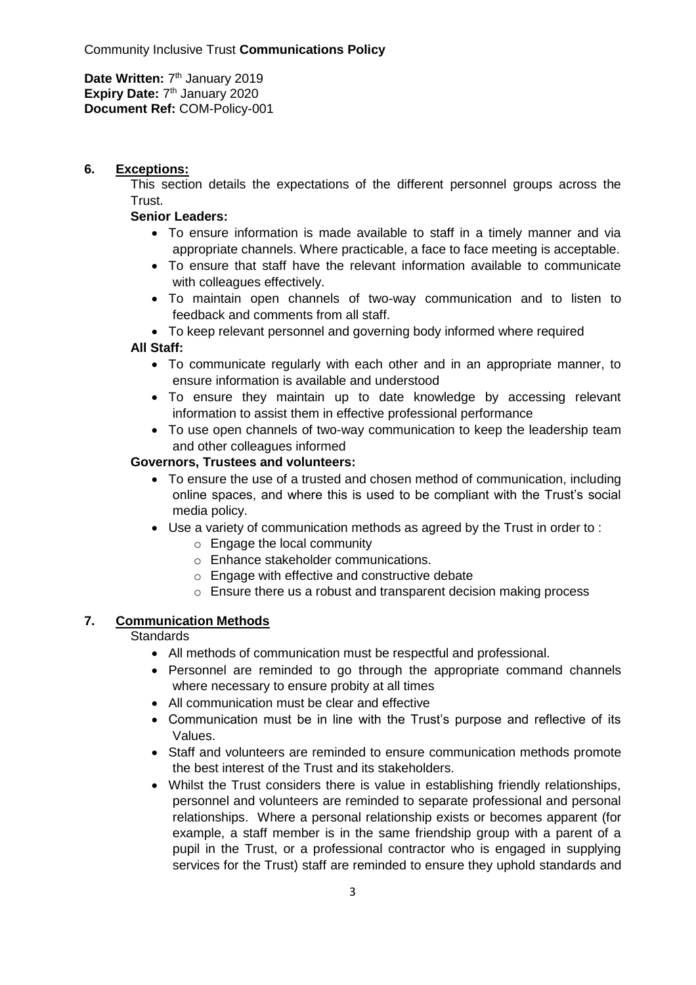### <span id="page-2-0"></span>**6. Exceptions:**

This section details the expectations of the different personnel groups across the Trust.

### **Senior Leaders:**

- To ensure information is made available to staff in a timely manner and via appropriate channels. Where practicable, a face to face meeting is acceptable.
- To ensure that staff have the relevant information available to communicate with colleagues effectively.
- To maintain open channels of two-way communication and to listen to feedback and comments from all staff.
- To keep relevant personnel and governing body informed where required

### **All Staff:**

- To communicate regularly with each other and in an appropriate manner, to ensure information is available and understood
- To ensure they maintain up to date knowledge by accessing relevant information to assist them in effective professional performance
- To use open channels of two-way communication to keep the leadership team and other colleagues informed

### **Governors, Trustees and volunteers:**

- To ensure the use of a trusted and chosen method of communication, including online spaces, and where this is used to be compliant with the Trust's social media policy.
- Use a variety of communication methods as agreed by the Trust in order to :
	- o Engage the local community
	- o Enhance stakeholder communications.
	- o Engage with effective and constructive debate
	- o Ensure there us a robust and transparent decision making process

## <span id="page-2-1"></span>**7. Communication Methods**

### **Standards**

- All methods of communication must be respectful and professional.
- Personnel are reminded to go through the appropriate command channels where necessary to ensure probity at all times
- All communication must be clear and effective
- Communication must be in line with the Trust's purpose and reflective of its Values.
- Staff and volunteers are reminded to ensure communication methods promote the best interest of the Trust and its stakeholders.
- Whilst the Trust considers there is value in establishing friendly relationships, personnel and volunteers are reminded to separate professional and personal relationships. Where a personal relationship exists or becomes apparent (for example, a staff member is in the same friendship group with a parent of a pupil in the Trust, or a professional contractor who is engaged in supplying services for the Trust) staff are reminded to ensure they uphold standards and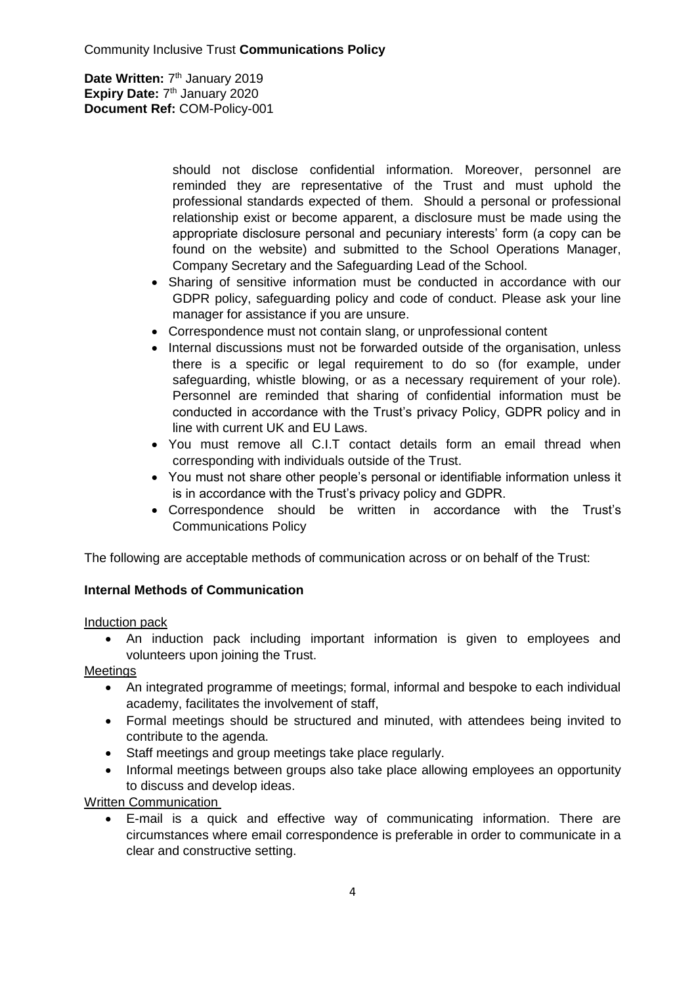> should not disclose confidential information. Moreover, personnel are reminded they are representative of the Trust and must uphold the professional standards expected of them. Should a personal or professional relationship exist or become apparent, a disclosure must be made using the appropriate disclosure personal and pecuniary interests' form (a copy can be found on the website) and submitted to the School Operations Manager, Company Secretary and the Safeguarding Lead of the School.

- Sharing of sensitive information must be conducted in accordance with our GDPR policy, safeguarding policy and code of conduct. Please ask your line manager for assistance if you are unsure.
- Correspondence must not contain slang, or unprofessional content
- Internal discussions must not be forwarded outside of the organisation, unless there is a specific or legal requirement to do so (for example, under safeguarding, whistle blowing, or as a necessary requirement of your role). Personnel are reminded that sharing of confidential information must be conducted in accordance with the Trust's privacy Policy, GDPR policy and in line with current UK and EU Laws.
- You must remove all C.I.T contact details form an email thread when corresponding with individuals outside of the Trust.
- You must not share other people's personal or identifiable information unless it is in accordance with the Trust's privacy policy and GDPR.
- Correspondence should be written in accordance with the Trust's Communications Policy

The following are acceptable methods of communication across or on behalf of the Trust:

## **Internal Methods of Communication**

Induction pack

 An induction pack including important information is given to employees and volunteers upon joining the Trust.

**Meetings** 

- An integrated programme of meetings; formal, informal and bespoke to each individual academy, facilitates the involvement of staff,
- Formal meetings should be structured and minuted, with attendees being invited to contribute to the agenda.
- Staff meetings and group meetings take place regularly.
- Informal meetings between groups also take place allowing employees an opportunity to discuss and develop ideas.

Written Communication

 E-mail is a quick and effective way of communicating information. There are circumstances where email correspondence is preferable in order to communicate in a clear and constructive setting.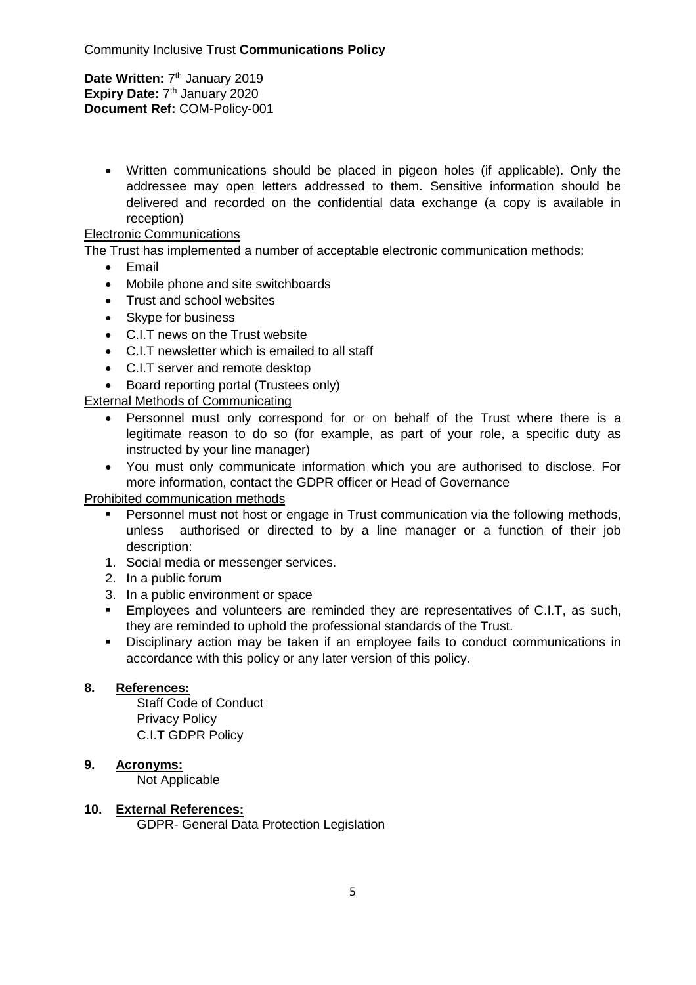> Written communications should be placed in pigeon holes (if applicable). Only the addressee may open letters addressed to them. Sensitive information should be delivered and recorded on the confidential data exchange (a copy is available in reception)

### Electronic Communications

The Trust has implemented a number of acceptable electronic communication methods:

- Email
- Mobile phone and site switchboards
- Trust and school websites
- Skype for business
- C.I.T news on the Trust website
- C.I.T newsletter which is emailed to all staff
- C.I.T server and remote desktop
- Board reporting portal (Trustees only)

External Methods of Communicating

- Personnel must only correspond for or on behalf of the Trust where there is a legitimate reason to do so (for example, as part of your role, a specific duty as instructed by your line manager)
- You must only communicate information which you are authorised to disclose. For more information, contact the GDPR officer or Head of Governance

### Prohibited communication methods

- **Personnel must not host or engage in Trust communication via the following methods,** unless authorised or directed to by a line manager or a function of their job description:
- 1. Social media or messenger services.
- 2. In a public forum
- 3. In a public environment or space
- Employees and volunteers are reminded they are representatives of C.I.T, as such, they are reminded to uphold the professional standards of the Trust.
- Disciplinary action may be taken if an employee fails to conduct communications in accordance with this policy or any later version of this policy.

### <span id="page-4-0"></span>**8. References:**

Staff Code of Conduct Privacy Policy C.I.T GDPR Policy

### <span id="page-4-1"></span>**9. Acronyms:**

Not Applicable

### <span id="page-4-2"></span>**10. External References:**

GDPR- General Data Protection Legislation